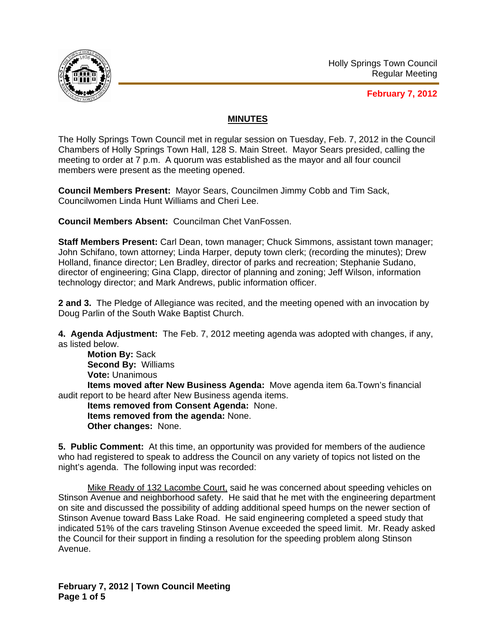

**February 7, 2012**

## **MINUTES**

The Holly Springs Town Council met in regular session on Tuesday, Feb. 7, 2012 in the Council Chambers of Holly Springs Town Hall, 128 S. Main Street. Mayor Sears presided, calling the meeting to order at 7 p.m. A quorum was established as the mayor and all four council members were present as the meeting opened.

**Council Members Present:** Mayor Sears, Councilmen Jimmy Cobb and Tim Sack, Councilwomen Linda Hunt Williams and Cheri Lee.

**Council Members Absent:** Councilman Chet VanFossen.

**Staff Members Present:** Carl Dean, town manager; Chuck Simmons, assistant town manager; John Schifano, town attorney; Linda Harper, deputy town clerk; (recording the minutes); Drew Holland, finance director; Len Bradley, director of parks and recreation; Stephanie Sudano, director of engineering; Gina Clapp, director of planning and zoning; Jeff Wilson, information technology director; and Mark Andrews, public information officer.

**2 and 3.** The Pledge of Allegiance was recited, and the meeting opened with an invocation by Doug Parlin of the South Wake Baptist Church.

**4. Agenda Adjustment:** The Feb. 7, 2012 meeting agenda was adopted with changes, if any, as listed below.

**Motion By:** Sack **Second By:** Williams **Vote:** Unanimous **Items moved after New Business Agenda:** Move agenda item 6a.Town's financial audit report to be heard after New Business agenda items. **Items removed from Consent Agenda:** None. **Items removed from the agenda:** None.

**Other changes:** None.

**5. Public Comment:** At this time, an opportunity was provided for members of the audience who had registered to speak to address the Council on any variety of topics not listed on the night's agenda. The following input was recorded:

Mike Ready of 132 Lacombe Court, said he was concerned about speeding vehicles on Stinson Avenue and neighborhood safety. He said that he met with the engineering department on site and discussed the possibility of adding additional speed humps on the newer section of Stinson Avenue toward Bass Lake Road. He said engineering completed a speed study that indicated 51% of the cars traveling Stinson Avenue exceeded the speed limit. Mr. Ready asked the Council for their support in finding a resolution for the speeding problem along Stinson Avenue.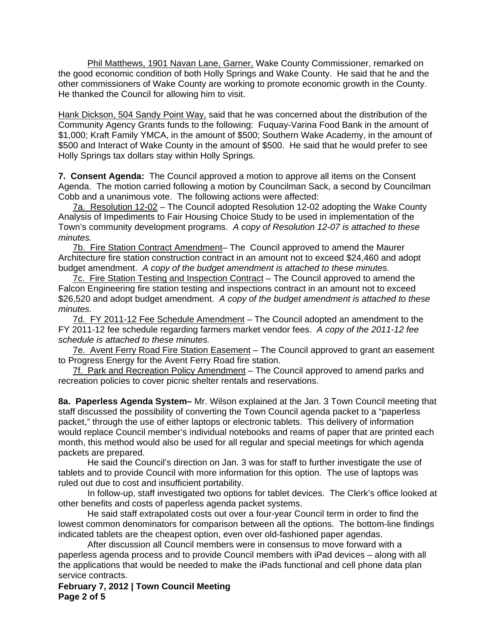Phil Matthews, 1901 Navan Lane, Garner, Wake County Commissioner, remarked on the good economic condition of both Holly Springs and Wake County. He said that he and the other commissioners of Wake County are working to promote economic growth in the County. He thanked the Council for allowing him to visit.

Hank Dickson, 504 Sandy Point Way, said that he was concerned about the distribution of the Community Agency Grants funds to the following: Fuquay-Varina Food Bank in the amount of \$1,000; Kraft Family YMCA, in the amount of \$500; Southern Wake Academy, in the amount of \$500 and Interact of Wake County in the amount of \$500. He said that he would prefer to see Holly Springs tax dollars stay within Holly Springs.

**7. Consent Agenda:** The Council approved a motion to approve all items on the Consent Agenda. The motion carried following a motion by Councilman Sack, a second by Councilman Cobb and a unanimous vote. The following actions were affected:

7a. Resolution 12-02 – The Council adopted Resolution 12-02 adopting the Wake County Analysis of Impediments to Fair Housing Choice Study to be used in implementation of the Town's community development programs. *A copy of Resolution 12-07 is attached to these minutes.*

7b. Fire Station Contract Amendment– The Council approved to amend the Maurer Architecture fire station construction contract in an amount not to exceed \$24,460 and adopt budget amendment. *A copy of the budget amendment is attached to these minutes.*

7c. Fire Station Testing and Inspection Contract – The Council approved to amend the Falcon Engineering fire station testing and inspections contract in an amount not to exceed \$26,520 and adopt budget amendment. *A copy of the budget amendment is attached to these minutes.*

7d. FY 2011-12 Fee Schedule Amendment - The Council adopted an amendment to the FY 2011-12 fee schedule regarding farmers market vendor fees. *A copy of the 2011-12 fee schedule is attached to these minutes.*

7e. Avent Ferry Road Fire Station Easement - The Council approved to grant an easement to Progress Energy for the Avent Ferry Road fire station.

7f. Park and Recreation Policy Amendment – The Council approved to amend parks and recreation policies to cover picnic shelter rentals and reservations.

**8a. Paperless Agenda System–** Mr. Wilson explained at the Jan. 3 Town Council meeting that staff discussed the possibility of converting the Town Council agenda packet to a "paperless packet," through the use of either laptops or electronic tablets. This delivery of information would replace Council member's individual notebooks and reams of paper that are printed each month, this method would also be used for all regular and special meetings for which agenda packets are prepared.

He said the Council's direction on Jan. 3 was for staff to further investigate the use of tablets and to provide Council with more information for this option. The use of laptops was ruled out due to cost and insufficient portability.

In follow-up, staff investigated two options for tablet devices. The Clerk's office looked at other benefits and costs of paperless agenda packet systems.

He said staff extrapolated costs out over a four-year Council term in order to find the lowest common denominators for comparison between all the options. The bottom-line findings indicated tablets are the cheapest option, even over old-fashioned paper agendas.

 After discussion all Council members were in consensus to move forward with a paperless agenda process and to provide Council members with iPad devices – along with all the applications that would be needed to make the iPads functional and cell phone data plan service contracts.

**February 7, 2012 | Town Council Meeting Page 2 of 5**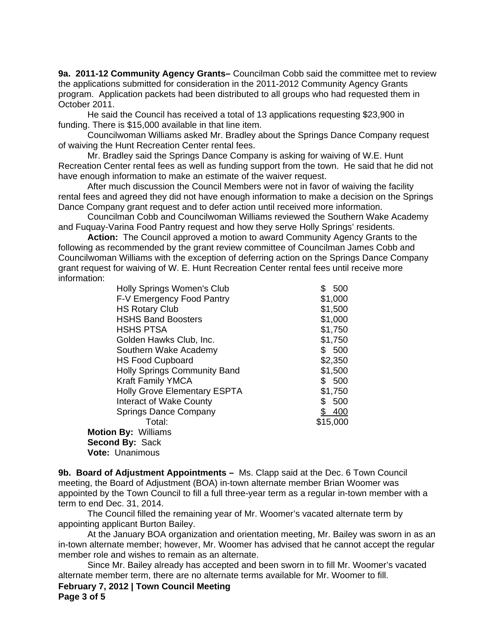**9a. 2011-12 Community Agency Grants–** Councilman Cobb said the committee met to review the applications submitted for consideration in the 2011-2012 Community Agency Grants program. Application packets had been distributed to all groups who had requested them in October 2011.

 He said the Council has received a total of 13 applications requesting \$23,900 in funding. There is \$15,000 available in that line item.

 Councilwoman Williams asked Mr. Bradley about the Springs Dance Company request of waiving the Hunt Recreation Center rental fees.

Mr. Bradley said the Springs Dance Company is asking for waiving of W.E. Hunt Recreation Center rental fees as well as funding support from the town. He said that he did not have enough information to make an estimate of the waiver request.

After much discussion the Council Members were not in favor of waiving the facility rental fees and agreed they did not have enough information to make a decision on the Springs Dance Company grant request and to defer action until received more information.

Councilman Cobb and Councilwoman Williams reviewed the Southern Wake Academy and Fuquay-Varina Food Pantry request and how they serve Holly Springs' residents.

**Action:** The Council approved a motion to award Community Agency Grants to the following as recommended by the grant review committee of Councilman James Cobb and Councilwoman Williams with the exception of deferring action on the Springs Dance Company grant request for waiving of W. E. Hunt Recreation Center rental fees until receive more information:

| <b>Holly Springs Women's Club</b>   | \$<br>500 |
|-------------------------------------|-----------|
| F-V Emergency Food Pantry           | \$1,000   |
| <b>HS Rotary Club</b>               | \$1,500   |
| <b>HSHS Band Boosters</b>           | \$1,000   |
| <b>HSHS PTSA</b>                    | \$1,750   |
| Golden Hawks Club, Inc.             | \$1,750   |
| Southern Wake Academy               | \$500     |
| <b>HS Food Cupboard</b>             | \$2,350   |
| <b>Holly Springs Community Band</b> | \$1,500   |
| <b>Kraft Family YMCA</b>            | \$500     |
| <b>Holly Grove Elementary ESPTA</b> | \$1,750   |
| Interact of Wake County             | 500<br>\$ |
| <b>Springs Dance Company</b>        | \$400     |
| Total:                              | \$15,000  |
| <b>Motion By: Williams</b>          |           |
| Second By: Sack                     |           |
| Vote: Unanimous                     |           |

**9b. Board of Adjustment Appointments –** Ms. Clapp said at the Dec. 6 Town Council meeting, the Board of Adjustment (BOA) in-town alternate member Brian Woomer was appointed by the Town Council to fill a full three-year term as a regular in-town member with a term to end Dec. 31, 2014.

 The Council filled the remaining year of Mr. Woomer's vacated alternate term by appointing applicant Burton Bailey.

 At the January BOA organization and orientation meeting, Mr. Bailey was sworn in as an in-town alternate member; however, Mr. Woomer has advised that he cannot accept the regular member role and wishes to remain as an alternate.

 Since Mr. Bailey already has accepted and been sworn in to fill Mr. Woomer's vacated alternate member term, there are no alternate terms available for Mr. Woomer to fill.

**February 7, 2012 | Town Council Meeting Page 3 of 5**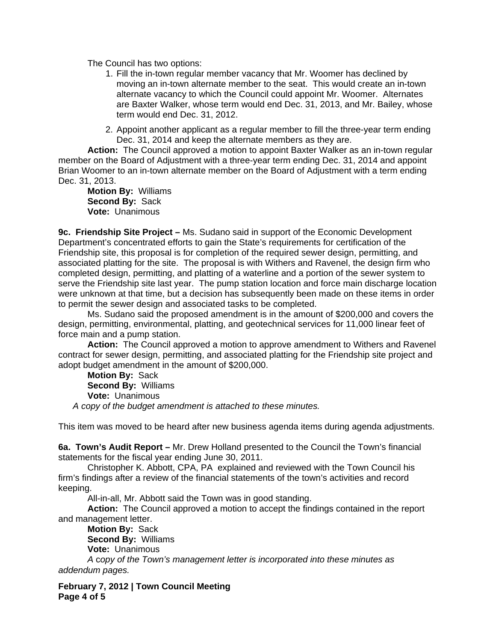The Council has two options:

- 1. Fill the in-town regular member vacancy that Mr. Woomer has declined by moving an in-town alternate member to the seat. This would create an in-town alternate vacancy to which the Council could appoint Mr. Woomer. Alternates are Baxter Walker, whose term would end Dec. 31, 2013, and Mr. Bailey, whose term would end Dec. 31, 2012.
- 2. Appoint another applicant as a regular member to fill the three-year term ending Dec. 31, 2014 and keep the alternate members as they are.

**Action:** The Council approved a motion to appoint Baxter Walker as an in-town regular member on the Board of Adjustment with a three-year term ending Dec. 31, 2014 and appoint Brian Woomer to an in-town alternate member on the Board of Adjustment with a term ending Dec. 31, 2013.

**Motion By:** Williams  **Second By:** Sack  **Vote:** Unanimous

**9c. Friendship Site Project –** Ms. Sudano said in support of the Economic Development Department's concentrated efforts to gain the State's requirements for certification of the Friendship site, this proposal is for completion of the required sewer design, permitting, and associated platting for the site. The proposal is with Withers and Ravenel, the design firm who completed design, permitting, and platting of a waterline and a portion of the sewer system to serve the Friendship site last year. The pump station location and force main discharge location were unknown at that time, but a decision has subsequently been made on these items in order to permit the sewer design and associated tasks to be completed.

Ms. Sudano said the proposed amendment is in the amount of \$200,000 and covers the design, permitting, environmental, platting, and geotechnical services for 11,000 linear feet of force main and a pump station.

**Action:** The Council approved a motion to approve amendment to Withers and Ravenel contract for sewer design, permitting, and associated platting for the Friendship site project and adopt budget amendment in the amount of \$200,000.

**Motion By:** Sack  **Second By:** Williams  **Vote:** Unanimous *A copy of the budget amendment is attached to these minutes.*

This item was moved to be heard after new business agenda items during agenda adjustments.

**6a. Town's Audit Report –** Mr. Drew Holland presented to the Council the Town's financial statements for the fiscal year ending June 30, 2011.

 Christopher K. Abbott, CPA, PA explained and reviewed with the Town Council his firm's findings after a review of the financial statements of the town's activities and record keeping.

All-in-all, Mr. Abbott said the Town was in good standing.

**Action:** The Council approved a motion to accept the findings contained in the report and management letter.

**Motion By:** Sack **Second By:** Williams

**Vote:** Unanimous

*A* c*opy of the Town's management letter is incorporated into these minutes as addendum pages.*

**February 7, 2012 | Town Council Meeting Page 4 of 5**